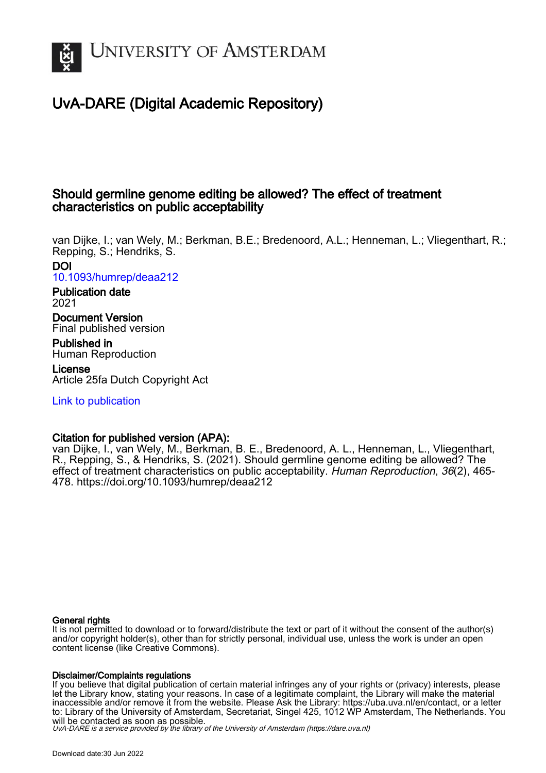

# UvA-DARE (Digital Academic Repository)

## Should germline genome editing be allowed? The effect of treatment characteristics on public acceptability

van Dijke, I.; van Wely, M.; Berkman, B.E.; Bredenoord, A.L.; Henneman, L.; Vliegenthart, R.; Repping, S.; Hendriks, S. DOI

[10.1093/humrep/deaa212](https://doi.org/10.1093/humrep/deaa212)

#### Publication date 2021

Document Version Final published version

Published in Human Reproduction

License Article 25fa Dutch Copyright Act

[Link to publication](https://dare.uva.nl/personal/pure/en/publications/should-germline-genome-editing-be-allowed-the-effect-of-treatment-characteristics-on-public-acceptability(3fe55eb1-32e9-4ac1-a87b-a510c11a0503).html)

## Citation for published version (APA):

van Dijke, I., van Wely, M., Berkman, B. E., Bredenoord, A. L., Henneman, L., Vliegenthart, R., Repping, S., & Hendriks, S. (2021). Should germline genome editing be allowed? The effect of treatment characteristics on public acceptability. Human Reproduction, 36(2), 465- 478. <https://doi.org/10.1093/humrep/deaa212>

#### General rights

It is not permitted to download or to forward/distribute the text or part of it without the consent of the author(s) and/or copyright holder(s), other than for strictly personal, individual use, unless the work is under an open content license (like Creative Commons).

#### Disclaimer/Complaints regulations

If you believe that digital publication of certain material infringes any of your rights or (privacy) interests, please let the Library know, stating your reasons. In case of a legitimate complaint, the Library will make the material inaccessible and/or remove it from the website. Please Ask the Library: https://uba.uva.nl/en/contact, or a letter to: Library of the University of Amsterdam, Secretariat, Singel 425, 1012 WP Amsterdam, The Netherlands. You will be contacted as soon as possible.

UvA-DARE is a service provided by the library of the University of Amsterdam (http*s*://dare.uva.nl)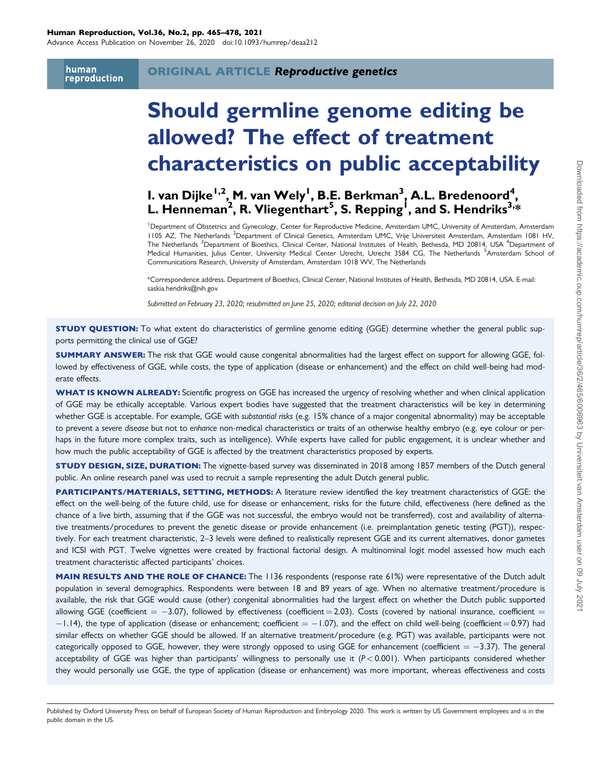Advance Access Publication on November 26, 2020 doi:10.1093/humrep/deaa212

human reproduction

# Should germline genome editing be allowed? The effect of treatment characteristics on public acceptability

## I. van Dijke<sup>1,2</sup>, M. van Wely<sup>l</sup>, B.E. Berkman<sup>3</sup>, A.L. Bredenoord<sup>4</sup>, L. Henneman<sup>2</sup>, R. Vliegenthart<sup>5</sup>, S. Repping<sup>1</sup>, and S. Hendriks<sup>3,</sup>\*

1 Department of Obstetrics and Gynecology, Center for Reproductive Medicine, Amsterdam UMC, University of Amsterdam, Amsterdam 1105 AZ, The Netherlands <sup>2</sup>Department of Clinical Genetics, Amsterdam UMC, Vrije Universiteit Amsterdam, Amsterdam 1081 HV, The Netherlands <sup>3</sup>Department of Bioethics, Clinical Center, National Institutes of Health, Bethesda, MD 20814, USA <sup>4</sup>Department of Medical Humanities, Julius Center, University Medical Center Utrecht, Utrecht 3584 CG, The Netherlands <sup>5</sup>Amsterdam School of Communications Research, University of Amsterdam, Amsterdam 1018 WV, The Netherlands

\*Correspondence address. Department of Bioethics, Clinical Center, National Institutes of Health, Bethesda, MD 20814, USA. E-mail: saskia.hendriks@nih.gov

Submitted on February 23, 2020; resubmitted on June 25, 2020; editorial decision on July 22, 2020

**STUDY QUESTION:** To what extent do characteristics of germline genome editing (GGE) determine whether the general public supports permitting the clinical use of GGE?

SUMMARY ANSWER: The risk that GGE would cause congenital abnormalities had the largest effect on support for allowing GGE, followed by effectiveness of GGE, while costs, the type of application (disease or enhancement) and the effect on child well-being had moderate effects.

WHAT IS KNOWN ALREADY: Scientific progress on GGE has increased the urgency of resolving whether and when clinical application of GGE may be ethically acceptable. Various expert bodies have suggested that the treatment characteristics will be key in determining whether GGE is acceptable. For example, GGE with substantial risks (e.g. 15% chance of a major congenital abnormality) may be acceptable to prevent a severe disease but not to enhance non-medical characteristics or traits of an otherwise healthy embryo (e.g. eye colour or perhaps in the future more complex traits, such as intelligence). While experts have called for public engagement, it is unclear whether and how much the public acceptability of GGE is affected by the treatment characteristics proposed by experts.

STUDY DESIGN, SIZE, DURATION: The vignette-based survey was disseminated in 2018 among 1857 members of the Dutch general public. An online research panel was used to recruit a sample representing the adult Dutch general public.

PARTICIPANTS/MATERIALS, SETTING, METHODS: A literature review identified the key treatment characteristics of GGE: the effect on the well-being of the future child, use for disease or enhancement, risks for the future child, effectiveness (here defined as the chance of a live birth, assuming that if the GGE was not successful, the embryo would not be transferred), cost and availability of alternative treatments/procedures to prevent the genetic disease or provide enhancement (i.e. preimplantation genetic testing (PGT)), respectively. For each treatment characteristic, 2–3 levels were defined to realistically represent GGE and its current alternatives, donor gametes and ICSI with PGT. Twelve vignettes were created by fractional factorial design. A multinominal logit model assessed how much each treatment characteristic affected participants' choices.

MAIN RESULTS AND THE ROLE OF CHANCE: The 1136 respondents (response rate 61%) were representative of the Dutch adult population in several demographics. Respondents were between 18 and 89 years of age. When no alternative treatment/procedure is available, the risk that GGE would cause (other) congenital abnormalities had the largest effect on whether the Dutch public supported allowing GGE (coefficient  $=$   $-3.07$ ), followed by effectiveness (coefficient  $=$  2.03). Costs (covered by national insurance, coefficient  $=$  $-1.14$ ), the type of application (disease or enhancement; coefficient  $=-1.07$ ), and the effect on child well-being (coefficient = 0.97) had similar effects on whether GGE should be allowed. If an alternative treatment/procedure (e.g. PGT) was available, participants were not categorically opposed to GGE, however, they were strongly opposed to using GGE for enhancement (coefficient  $= -3.37$ ). The general acceptability of GGE was higher than participants' willingness to personally use it  $(P < 0.001)$ . When participants considered whether they would personally use GGE, the type of application (disease or enhancement) was more important, whereas effectiveness and costs

Published by Oxford University Press on behalf of European Society of Human Reproduction and Embryology 2020. This work is written by US Government employees and is in the public domain in the US.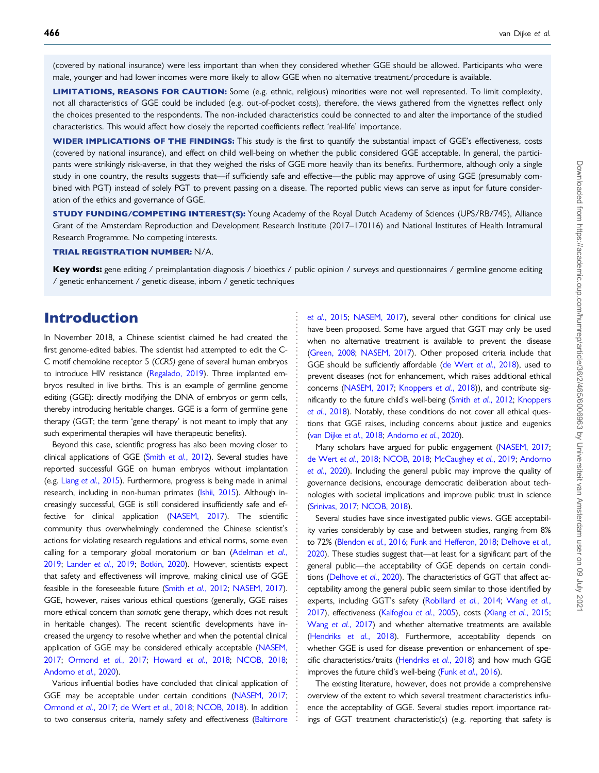(covered by national insurance) were less important than when they considered whether GGE should be allowed. Participants who were male, younger and had lower incomes were more likely to allow GGE when no alternative treatment/procedure is available.

LIMITATIONS, REASONS FOR CAUTION: Some (e.g. ethnic, religious) minorities were not well represented. To limit complexity, not all characteristics of GGE could be included (e.g. out-of-pocket costs), therefore, the views gathered from the vignettes reflect only the choices presented to the respondents. The non-included characteristics could be connected to and alter the importance of the studied characteristics. This would affect how closely the reported coefficients reflect 'real-life' importance.

WIDER IMPLICATIONS OF THE FINDINGS: This study is the first to quantify the substantial impact of GGE's effectiveness, costs (covered by national insurance), and effect on child well-being on whether the public considered GGE acceptable. In general, the participants were strikingly risk-averse, in that they weighed the risks of GGE more heavily than its benefits. Furthermore, although only a single study in one country, the results suggests that—if sufficiently safe and effective—the public may approve of using GGE (presumably combined with PGT) instead of solely PGT to prevent passing on a disease. The reported public views can serve as input for future consideration of the ethics and governance of GGE.

STUDY FUNDING/COMPETING INTEREST(S): Young Academy of the Royal Dutch Academy of Sciences (UPS/RB/745), Alliance Grant of the Amsterdam Reproduction and Development Research Institute (2017–170116) and National Institutes of Health Intramural Research Programme. No competing interests.

#### TRIAL REGISTRATION NUMBER: N/A.

Key words: gene editing / preimplantation diagnosis / bioethics / public opinion / surveys and questionnaires / germline genome editing / genetic enhancement / genetic disease, inborn / genetic techniques

> . . . . . . . . . . . . . . . . . . . . . . . . . . . . . . . . . . . . . . . . . . . . . . . . . . . . . . . . . . . . . . . . . . . . . . . . . . . . . . . . . . . . . . . . . . . . . . . . . . . . . . . . . . .

## Introduction

In November 2018, a Chinese scientist claimed he had created the first genome-edited babies. The scientist had attempted to edit the C-C motif chemokine receptor 5 (CCR5) gene of several human embryos to introduce HIV resistance ([Regalado, 2019](#page-13-0)). Three implanted embryos resulted in live births. This is an example of germline genome editing (GGE): directly modifying the DNA of embryos or germ cells, thereby introducing heritable changes. GGE is a form of germline gene therapy (GGT; the term 'gene therapy' is not meant to imply that any such experimental therapies will have therapeutic benefits).

Beyond this case, scientific progress has also been moving closer to clinical applications of GGE (Smith et al.[, 2012\)](#page-14-0). Several studies have reported successful GGE on human embryos without implantation (e.g. Liang et al.[, 2015](#page-13-0)). Furthermore, progress is being made in animal research, including in non-human primates ([Ishii, 2015](#page-13-0)). Although increasingly successful, GGE is still considered insufficiently safe and effective for clinical application ([NASEM, 2017\)](#page-13-0). The scientific community thus overwhelmingly condemned the Chinese scientist's actions for violating research regulations and ethical norms, some even calling for a temporary global moratorium or ban [\(Adelman](#page-12-0) et al., [2019;](#page-12-0) [Lander](#page-13-0) et al., 2019; [Botkin, 2020](#page-12-0)). However, scientists expect that safety and effectiveness will improve, making clinical use of GGE feasible in the foreseeable future (Smith et al.[, 2012;](#page-14-0) [NASEM, 2017\)](#page-13-0). GGE, however, raises various ethical questions (generally, GGE raises more ethical concern than somatic gene therapy, which does not result in heritable changes). The recent scientific developments have increased the urgency to resolve whether and when the potential clinical application of GGE may be considered ethically acceptable [\(NASEM,](#page-13-0) [2017;](#page-13-0) [Ormond](#page-13-0) et al., 2017; [Howard](#page-13-0) et al., 2018; [NCOB, 2018](#page-13-0); [Andorno](#page-12-0) et al., 2020).

Various influential bodies have concluded that clinical application of GGE may be acceptable under certain conditions ([NASEM, 2017](#page-13-0); [Ormond](#page-13-0) et al., 2017; [de Wert](#page-12-0) et al., 2018; [NCOB, 2018](#page-13-0)). In addition to two consensus criteria, namely safety and effectiveness ([Baltimore](#page-12-0)

et al.[, 2015;](#page-12-0) [NASEM, 2017](#page-13-0)), several other conditions for clinical use have been proposed. Some have argued that GGT may only be used when no alternative treatment is available to prevent the disease [\(Green, 2008](#page-13-0); [NASEM, 2017](#page-13-0)). Other proposed criteria include that GGE should be sufficiently affordable [\(de Wert](#page-12-0) et al., 2018), used to prevent diseases (not for enhancement, which raises additional ethical concerns [\(NASEM, 2017](#page-13-0); [Knoppers](#page-13-0) et al., 2018)), and contribute sig-nificantly to the future child's well-being (Smith et al.[, 2012;](#page-14-0) [Knoppers](#page-13-0) et al.[, 2018\)](#page-13-0). Notably, these conditions do not cover all ethical questions that GGE raises, including concerns about justice and eugenics [\(van Dijke](#page-14-0) et al., 2018; [Andorno](#page-12-0) et al., 2020).

Many scholars have argued for public engagement [\(NASEM, 2017;](#page-13-0) [de Wert](#page-12-0) et al., 2018; [NCOB, 2018;](#page-13-0) [McCaughey](#page-13-0) et al., 2019; [Andorno](#page-12-0) et al.[, 2020\)](#page-12-0). Including the general public may improve the quality of governance decisions, encourage democratic deliberation about technologies with societal implications and improve public trust in science [\(Srinivas, 2017](#page-14-0); [NCOB, 2018](#page-13-0)).

Several studies have since investigated public views. GGE acceptability varies considerably by case and between studies, ranging from 8% to 72% [\(Blendon](#page-12-0) et al., 2016; [Funk and Hefferon, 2018](#page-13-0); [Delhove](#page-12-0) et al., [2020](#page-12-0)). These studies suggest that—at least for a significant part of the general public—the acceptability of GGE depends on certain conditions [\(Delhove](#page-12-0) et al., 2020). The characteristics of GGT that affect acceptability among the general public seem similar to those identified by experts, including GGT's safety [\(Robillard](#page-13-0) et al., 2014; [Wang](#page-14-0) et al., [2017](#page-14-0)), effectiveness [\(Kalfoglou](#page-13-0) et al., 2005), costs (Xiang et al.[, 2015;](#page-14-0) Wang et al.[, 2017](#page-14-0)) and whether alternative treatments are available [\(Hendriks](#page-13-0) et al., 2018). Furthermore, acceptability depends on whether GGE is used for disease prevention or enhancement of spe-cific characteristics/traits ([Hendriks](#page-13-0) et al., 2018) and how much GGE improves the future child's well-being (Funk et al.[, 2016](#page-13-0)).

The existing literature, however, does not provide a comprehensive overview of the extent to which several treatment characteristics influence the acceptability of GGE. Several studies report importance ratings of GGT treatment characteristic(s) (e.g. reporting that safety is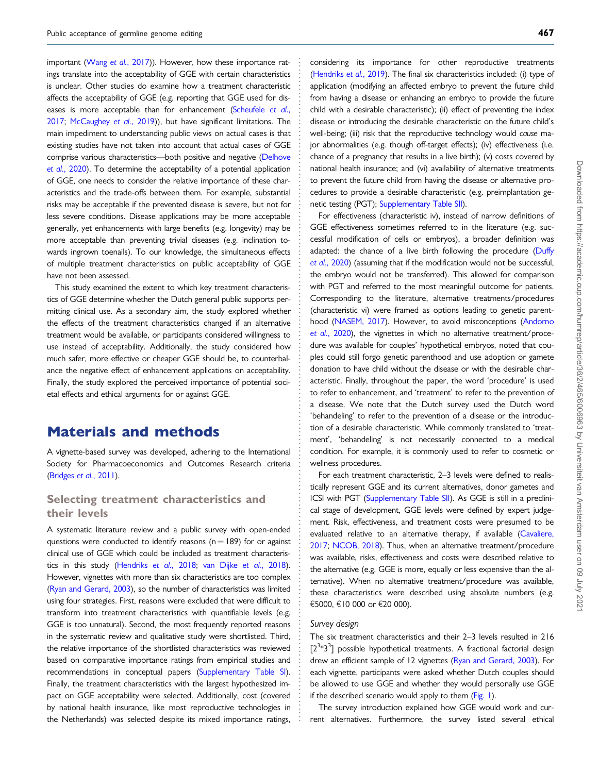important (Wang et al.[, 2017\)](#page-14-0)). However, how these importance ratings translate into the acceptability of GGE with certain characteristics is unclear. Other studies do examine how a treatment characteristic affects the acceptability of GGE (e.g. reporting that GGE used for dis-eases is more acceptable than for enhancement [\(Scheufele](#page-14-0) et al., [2017;](#page-14-0) [McCaughey](#page-13-0) et al., 2019)), but have significant limitations. The main impediment to understanding public views on actual cases is that existing studies have not taken into account that actual cases of GGE comprise various characteristics—both positive and negative ([Delhove](#page-12-0) et al.[, 2020](#page-12-0)). To determine the acceptability of a potential application of GGE, one needs to consider the relative importance of these characteristics and the trade-offs between them. For example, substantial risks may be acceptable if the prevented disease is severe, but not for less severe conditions. Disease applications may be more acceptable generally, yet enhancements with large benefits (e.g. longevity) may be more acceptable than preventing trivial diseases (e.g. inclination towards ingrown toenails). To our knowledge, the simultaneous effects of multiple treatment characteristics on public acceptability of GGE have not been assessed.

This study examined the extent to which key treatment characteristics of GGE determine whether the Dutch general public supports permitting clinical use. As a secondary aim, the study explored whether the effects of the treatment characteristics changed if an alternative treatment would be available, or participants considered willingness to use instead of acceptability. Additionally, the study considered how much safer, more effective or cheaper GGE should be, to counterbalance the negative effect of enhancement applications on acceptability. Finally, the study explored the perceived importance of potential societal effects and ethical arguments for or against GGE.

## Materials and methods

A vignette-based survey was developed, adhering to the International Society for Pharmacoeconomics and Outcomes Research criteria ([Bridges](#page-12-0) et al., 2011).

#### Selecting treatment characteristics and their levels

A systematic literature review and a public survey with open-ended questions were conducted to identify reasons ( $n = 189$ ) for or against clinical use of GGE which could be included as treatment characteristics in this study ([Hendriks](#page-13-0) et al., 2018; [van Dijke](#page-14-0) et al., 2018). However, vignettes with more than six characteristics are too complex ([Ryan and Gerard, 2003\)](#page-13-0), so the number of characteristics was limited using four strategies. First, reasons were excluded that were difficult to transform into treatment characteristics with quantifiable levels (e.g. GGE is too unnatural). Second, the most frequently reported reasons in the systematic review and qualitative study were shortlisted. Third, the relative importance of the shortlisted characteristics was reviewed based on comparative importance ratings from empirical studies and recommendations in conceptual papers ([Supplementary Table SI\)](https://academic.oup.com/humrep/article-lookup/doi/10.1093/humrep/deaa212#supplementary-data). Finally, the treatment characteristics with the largest hypothesized impact on GGE acceptability were selected. Additionally, cost (covered by national health insurance, like most reproductive technologies in the Netherlands) was selected despite its mixed importance ratings,

considering its importance for other reproductive treatments [\(Hendriks](#page-13-0) et al., 2019). The final six characteristics included: (i) type of application (modifying an affected embryo to prevent the future child from having a disease or enhancing an embryo to provide the future child with a desirable characteristic); (ii) effect of preventing the index disease or introducing the desirable characteristic on the future child's well-being; (iii) risk that the reproductive technology would cause major abnormalities (e.g. though off-target effects); (iv) effectiveness (i.e. chance of a pregnancy that results in a live birth); (v) costs covered by national health insurance; and (vi) availability of alternative treatments to prevent the future child from having the disease or alternative procedures to provide a desirable characteristic (e.g. preimplantation genetic testing (PGT); [Supplementary Table SII](https://academic.oup.com/humrep/article-lookup/doi/10.1093/humrep/deaa212#supplementary-data)).

For effectiveness (characteristic iv), instead of narrow definitions of GGE effectiveness sometimes referred to in the literature (e.g. successful modification of cells or embryos), a broader definition was adapted: the chance of a live birth following the procedure [\(Duffy](#page-12-0) et al.[, 2020\)](#page-12-0) (assuming that if the modification would not be successful, the embryo would not be transferred). This allowed for comparison with PGT and referred to the most meaningful outcome for patients. Corresponding to the literature, alternative treatments/procedures (characteristic vi) were framed as options leading to genetic parenthood [\(NASEM, 2017\)](#page-13-0). However, to avoid misconceptions [\(Andorno](#page-12-0) et al.[, 2020](#page-12-0)), the vignettes in which no alternative treatment/procedure was available for couples' hypothetical embryos, noted that couples could still forgo genetic parenthood and use adoption or gamete donation to have child without the disease or with the desirable characteristic. Finally, throughout the paper, the word 'procedure' is used to refer to enhancement, and 'treatment' to refer to the prevention of a disease. We note that the Dutch survey used the Dutch word 'behandeling' to refer to the prevention of a disease or the introduction of a desirable characteristic. While commonly translated to 'treatment', 'behandeling' is not necessarily connected to a medical condition. For example, it is commonly used to refer to cosmetic or wellness procedures.

For each treatment characteristic, 2–3 levels were defined to realistically represent GGE and its current alternatives, donor gametes and ICSI with PGT ([Supplementary Table SII](https://academic.oup.com/humrep/article-lookup/doi/10.1093/humrep/deaa212#supplementary-data)). As GGE is still in a preclinical stage of development, GGE levels were defined by expert judgement. Risk, effectiveness, and treatment costs were presumed to be evaluated relative to an alternative therapy, if available [\(Cavaliere,](#page-12-0) [2017](#page-12-0); [NCOB, 2018](#page-13-0)). Thus, when an alternative treatment/procedure was available, risks, effectiveness and costs were described relative to the alternative (e.g. GGE is more, equally or less expensive than the alternative). When no alternative treatment/procedure was available, these characteristics were described using absolute numbers (e.g. €5000,  $€10000$  or  $€20000$ .

#### Survey design

. . . . . . . . . . . . . . . . . . . . . . . . . . . . . . . . . . . . . . . . . . . . . . . . . . . . . . . . . . . . . . . . . . . . . . . . . . . . . . . . . . . . . . . . . . . . . . . . . . . . . . . . . . . . . . . . . . . . . . . . . . . . . . . . . . . . . . . . . . . . . . . . . . . . . . . . . . . . . . . . . . . . . . . . . . . .

The six treatment characteristics and their 2–3 levels resulted in 216  $[2^{3*}3^{3}]$  possible hypothetical treatments. A fractional factorial design drew an efficient sample of 12 vignettes [\(Ryan and Gerard, 2003](#page-13-0)). For each vignette, participants were asked whether Dutch couples should be allowed to use GGE and whether they would personally use GGE if the described scenario would apply to them ([Fig. 1](#page-4-0)).

The survey introduction explained how GGE would work and current alternatives. Furthermore, the survey listed several ethical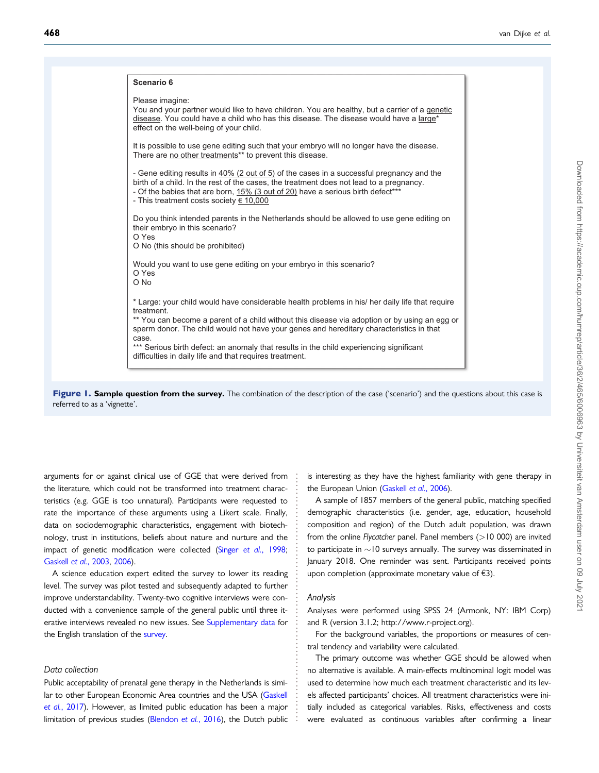<span id="page-4-0"></span>

| Scenario 6          |                                                                                                                                                                                                                                                                                                                                                                                                                                                   |
|---------------------|---------------------------------------------------------------------------------------------------------------------------------------------------------------------------------------------------------------------------------------------------------------------------------------------------------------------------------------------------------------------------------------------------------------------------------------------------|
| Please imagine:     | You and your partner would like to have children. You are healthy, but a carrier of a genetic<br>disease. You could have a child who has this disease. The disease would have a large*<br>effect on the well-being of your child.                                                                                                                                                                                                                 |
|                     | It is possible to use gene editing such that your embryo will no longer have the disease.<br>There are no other treatments** to prevent this disease.                                                                                                                                                                                                                                                                                             |
|                     | - Gene editing results in 40% (2 out of 5) of the cases in a successful pregnancy and the<br>birth of a child. In the rest of the cases, the treatment does not lead to a pregnancy.<br>- Of the babies that are born, 15% (3 out of 20) have a serious birth defect***<br>- This treatment costs society $\epsilon$ 10,000                                                                                                                       |
| O Yes               | Do you think intended parents in the Netherlands should be allowed to use gene editing on<br>their embryo in this scenario?<br>O No (this should be prohibited)                                                                                                                                                                                                                                                                                   |
| O Yes<br>O No       | Would you want to use gene editing on your embryo in this scenario?                                                                                                                                                                                                                                                                                                                                                                               |
| treatment.<br>case. | * Large: your child would have considerable health problems in his/ her daily life that require<br>** You can become a parent of a child without this disease via adoption or by using an egg or<br>sperm donor. The child would not have your genes and hereditary characteristics in that<br>*** Serious birth defect: an anomaly that results in the child experiencing significant<br>difficulties in daily life and that requires treatment. |

Figure 1. Sample question from the survey. The combination of the description of the case ('scenario') and the questions about this case is referred to as a 'vignette'.

arguments for or against clinical use of GGE that were derived from the literature, which could not be transformed into treatment characteristics (e.g. GGE is too unnatural). Participants were requested to rate the importance of these arguments using a Likert scale. Finally, data on sociodemographic characteristics, engagement with biotechnology, trust in institutions, beliefs about nature and nurture and the impact of genetic modification were collected (Singer et al.[, 1998](#page-14-0); [Gaskell](#page-13-0) et al., 2003, [2006](#page-13-0)).

A science education expert edited the survey to lower its reading level. The survey was pilot tested and subsequently adapted to further improve understandability. Twenty-two cognitive interviews were conducted with a convenience sample of the general public until three it-erative interviews revealed no new issues. See [Supplementary data](https://academic.oup.com/humrep/article-lookup/doi/10.1093/humrep/deaa212#supplementary-data) for the English translation of the [survey](https://academic.oup.com/humrep/article-lookup/doi/10.1093/humrep/deaa212#supplementary-data).

#### Data collection

Public acceptability of prenatal gene therapy in the Netherlands is simi-lar to other European Economic Area countries and the USA [\(Gaskell](#page-13-0) et al.[, 2017\)](#page-13-0). However, as limited public education has been a major limitation of previous studies ([Blendon](#page-12-0) et al., 2016), the Dutch public

is interesting as they have the highest familiarity with gene therapy in the European Union [\(Gaskell](#page-13-0) et al., 2006).

A sample of 1857 members of the general public, matching specified demographic characteristics (i.e. gender, age, education, household composition and region) of the Dutch adult population, was drawn from the online Flycatcher panel. Panel members (>10 000) are invited to participate in  $\sim$  10 surveys annually. The survey was disseminated in January 2018. One reminder was sent. Participants received points upon completion (approximate monetary value of  $\epsilon$ 3).

#### Analysis

. . . . . . . . . . . . . . . . . . . . . . . . . . . . . . . . . . . . . . . . . . . . . . . . . . . . . . . . . . . . . . . .

Analyses were performed using SPSS 24 (Armonk, NY: IBM Corp) and R (version 3.1.2;<http://www.r-project.org>).

For the background variables, the proportions or measures of central tendency and variability were calculated.

The primary outcome was whether GGE should be allowed when no alternative is available. A main-effects multinominal logit model was used to determine how much each treatment characteristic and its levels affected participants' choices. All treatment characteristics were initially included as categorical variables. Risks, effectiveness and costs were evaluated as continuous variables after confirming a linear

Downloaded from https://academic.oup.com/humrep/article/36/2/465/6006963 by Universiteit van Amsterdam user on 09 July 2021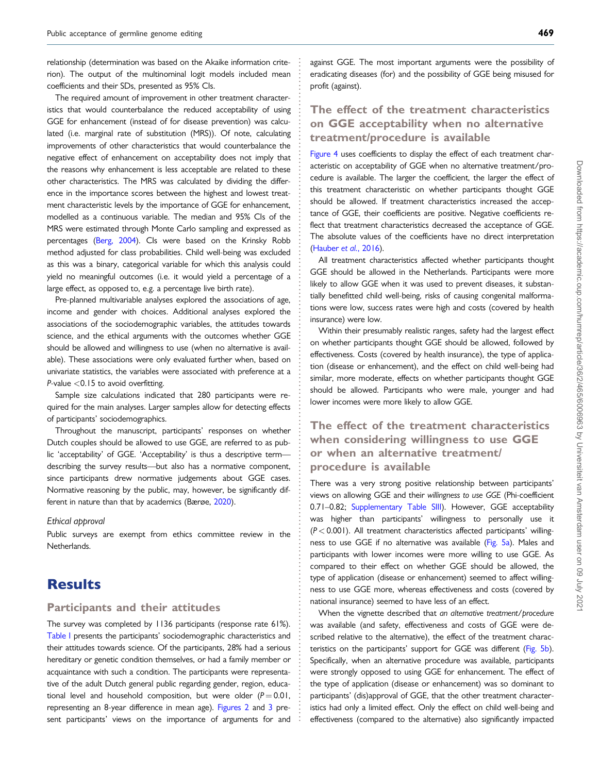. relationship (determination was based on the Akaike information criterion). The output of the multinominal logit models included mean coefficients and their SDs, presented as 95% CIs.

The required amount of improvement in other treatment characteristics that would counterbalance the reduced acceptability of using GGE for enhancement (instead of for disease prevention) was calculated (i.e. marginal rate of substitution (MRS)). Of note, calculating improvements of other characteristics that would counterbalance the negative effect of enhancement on acceptability does not imply that the reasons why enhancement is less acceptable are related to these other characteristics. The MRS was calculated by dividing the difference in the importance scores between the highest and lowest treatment characteristic levels by the importance of GGE for enhancement, modelled as a continuous variable. The median and 95% CIs of the MRS were estimated through Monte Carlo sampling and expressed as percentages [\(Berg, 2004](#page-12-0)). CIs were based on the Krinsky Robb method adjusted for class probabilities. Child well-being was excluded as this was a binary, categorical variable for which this analysis could yield no meaningful outcomes (i.e. it would yield a percentage of a large effect, as opposed to, e.g. a percentage live birth rate).

Pre-planned multivariable analyses explored the associations of age, income and gender with choices. Additional analyses explored the associations of the sociodemographic variables, the attitudes towards science, and the ethical arguments with the outcomes whether GGE should be allowed and willingness to use (when no alternative is available). These associations were only evaluated further when, based on univariate statistics, the variables were associated with preference at a P-value <0.15 to avoid overfitting.

Sample size calculations indicated that 280 participants were required for the main analyses. Larger samples allow for detecting effects of participants' sociodemographics.

Throughout the manuscript, participants' responses on whether Dutch couples should be allowed to use GGE, are referred to as public 'acceptability' of GGE. 'Acceptability' is thus a descriptive term describing the survey results—but also has a normative component, since participants drew normative judgements about GGE cases. Normative reasoning by the public, may, however, be significantly different in nature than that by academics (Bærøe, [2020](#page-12-0)).

#### Ethical approval

Public surveys are exempt from ethics committee review in the Netherlands.

## **Results**

#### Participants and their attitudes

The survey was completed by 1136 participants (response rate 61%). [Table I](#page-6-0) presents the participants' sociodemographic characteristics and their attitudes towards science. Of the participants, 28% had a serious hereditary or genetic condition themselves, or had a family member or acquaintance with such a condition. The participants were representative of the adult Dutch general public regarding gender, region, educational level and household composition, but were older  $(P = 0.01$ , representing an 8-year difference in mean age). [Figures 2](#page-8-0) and [3](#page-9-0) present participants' views on the importance of arguments for and . . . . . . . . . . . . . . . . . . . . . . . . . . . . . . . . . . . . . . . . . . . . . . . . . . . . . . . . . . . . . . . . . . . . . . . . . . . . . . . . . . . . . . . . . . . . . . . . . . . . . . . . . . . . . . . . . . . . . . . . . . . . . . . . . . . . . . . . . . . . . . . . . . . . . . . . . . . . . . . . . . . . . . . . . . . .

against GGE. The most important arguments were the possibility of eradicating diseases (for) and the possibility of GGE being misused for profit (against).

### The effect of the treatment characteristics on GGE acceptability when no alternative treatment/procedure is available

[Figure 4](#page-10-0) uses coefficients to display the effect of each treatment characteristic on acceptability of GGE when no alternative treatment/procedure is available. The larger the coefficient, the larger the effect of this treatment characteristic on whether participants thought GGE should be allowed. If treatment characteristics increased the acceptance of GGE, their coefficients are positive. Negative coefficients reflect that treatment characteristics decreased the acceptance of GGE. The absolute values of the coefficients have no direct interpretation [\(Hauber](#page-13-0) et al., 2016).

All treatment characteristics affected whether participants thought GGE should be allowed in the Netherlands. Participants were more likely to allow GGE when it was used to prevent diseases, it substantially benefitted child well-being, risks of causing congenital malformations were low, success rates were high and costs (covered by health insurance) were low.

Within their presumably realistic ranges, safety had the largest effect on whether participants thought GGE should be allowed, followed by effectiveness. Costs (covered by health insurance), the type of application (disease or enhancement), and the effect on child well-being had similar, more moderate, effects on whether participants thought GGE should be allowed. Participants who were male, younger and had lower incomes were more likely to allow GGE.

## The effect of the treatment characteristics when considering willingness to use GGE or when an alternative treatment/ procedure is available

There was a very strong positive relationship between participants' views on allowing GGE and their willingness to use GGE (Phi-coefficient 0.71–0.82; [Supplementary Table SIII\)](https://academic.oup.com/humrep/article-lookup/doi/10.1093/humrep/deaa212#supplementary-data). However, GGE acceptability was higher than participants' willingness to personally use it  $(P < 0.001)$ . All treatment characteristics affected participants' willing-ness to use GGE if no alternative was available [\(Fig. 5a\)](#page-11-0). Males and participants with lower incomes were more willing to use GGE. As compared to their effect on whether GGE should be allowed, the type of application (disease or enhancement) seemed to affect willingness to use GGE more, whereas effectiveness and costs (covered by national insurance) seemed to have less of an effect.

When the vignette described that an alternative treatment/procedure was available (and safety, effectiveness and costs of GGE were described relative to the alternative), the effect of the treatment characteristics on the participants' support for GGE was different [\(Fig. 5b](#page-11-0)). Specifically, when an alternative procedure was available, participants were strongly opposed to using GGE for enhancement. The effect of the type of application (disease or enhancement) was so dominant to participants' (dis)approval of GGE, that the other treatment characteristics had only a limited effect. Only the effect on child well-being and effectiveness (compared to the alternative) also significantly impacted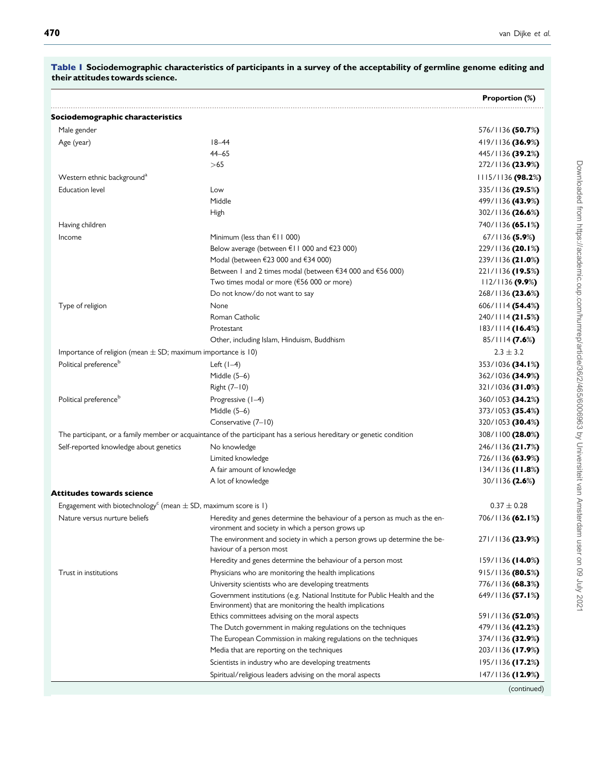|                                                                                                                      |                                                                                                                                        | Proportion (%)           |
|----------------------------------------------------------------------------------------------------------------------|----------------------------------------------------------------------------------------------------------------------------------------|--------------------------|
| Sociodemographic characteristics                                                                                     |                                                                                                                                        |                          |
| Male gender                                                                                                          |                                                                                                                                        | 576/1136 (50.7%)         |
| Age (year)                                                                                                           | $18 - 44$                                                                                                                              | 419/1136 (36.9%)         |
|                                                                                                                      | $44 - 65$                                                                                                                              | 445/1136 (39.2%)         |
|                                                                                                                      | >65                                                                                                                                    | 272/1136 (23.9%)         |
| Western ethnic background <sup>a</sup>                                                                               |                                                                                                                                        | $1115/1136$ (98.2%)      |
| <b>Education level</b>                                                                                               | Low                                                                                                                                    | 335/1136 (29.5%)         |
|                                                                                                                      | Middle                                                                                                                                 | 499/1136 (43.9%)         |
|                                                                                                                      | High                                                                                                                                   | 302/1136 (26.6%)         |
| Having children                                                                                                      |                                                                                                                                        | 740/1136 (65.1%)         |
| Income                                                                                                               | Minimum (less than $f(11000)$                                                                                                          | $67/1136$ (5.9%)         |
|                                                                                                                      | Below average (between €11 000 and €23 000)                                                                                            | 229/1136 (20.1%)         |
|                                                                                                                      | Modal (between €23 000 and €34 000)                                                                                                    | 239/1136 (21.0%)         |
|                                                                                                                      | Between I and 2 times modal (between €34 000 and €56 000)                                                                              | 221/1136 (19.5%)         |
|                                                                                                                      | Two times modal or more (€56 000 or more)                                                                                              | 112/1136(9.9%)           |
|                                                                                                                      | Do not know/do not want to say                                                                                                         | 268/1136 (23.6%)         |
| Type of religion                                                                                                     | None                                                                                                                                   | $606/1114$ (54.4%)       |
|                                                                                                                      | Roman Catholic                                                                                                                         | 240/1114 (21.5%)         |
|                                                                                                                      | Protestant                                                                                                                             | 183/1114 (16.4%)         |
|                                                                                                                      | Other, including Islam, Hinduism, Buddhism                                                                                             | 85/1114 (7.6%)           |
| Importance of religion (mean $\pm$ SD; maximum importance is 10)                                                     |                                                                                                                                        | $2.3 \pm 3.2$            |
| Political preference <sup>b</sup>                                                                                    | Left $(1-4)$                                                                                                                           | 353/1036 (34.1%)         |
|                                                                                                                      | Middle $(5-6)$                                                                                                                         | 362/1036 (34.9%)         |
|                                                                                                                      | Right (7-10)                                                                                                                           | 321/1036 (31.0%)         |
| Political preference <sup>b</sup>                                                                                    | Progressive (1-4)                                                                                                                      | 360/1053 (34.2%)         |
|                                                                                                                      | Middle $(5-6)$                                                                                                                         | 373/1053 (35.4%)         |
|                                                                                                                      | Conservative (7-10)                                                                                                                    | 320/1053 (30.4%)         |
| The participant, or a family member or acquaintance of the participant has a serious hereditary or genetic condition |                                                                                                                                        | 308/1100 (28.0%)         |
| Self-reported knowledge about genetics                                                                               | No knowledge                                                                                                                           | 246/1136 (21.7%)         |
|                                                                                                                      | Limited knowledge                                                                                                                      | 726/1136 (63.9%)         |
|                                                                                                                      | A fair amount of knowledge                                                                                                             | $134/1136$ (11.8%)       |
|                                                                                                                      | A lot of knowledge                                                                                                                     | 30/1136 (2.6%)           |
| Attitudes towards science                                                                                            |                                                                                                                                        |                          |
| Engagement with biotechnology <sup>c</sup> (mean $\pm$ SD, maximum score is 1)                                       |                                                                                                                                        | $0.37 \pm 0.28$          |
| Nature versus nurture beliefs                                                                                        | Heredity and genes determine the behaviour of a person as much as the en-<br>vironment and society in which a person grows up          | 706/1136 (62.1%)         |
|                                                                                                                      | The environment and society in which a person grows up determine the be-                                                               | 271/1136 (23.9%)         |
|                                                                                                                      | haviour of a person most                                                                                                               |                          |
|                                                                                                                      | Heredity and genes determine the behaviour of a person most                                                                            | 159/1136 (14.0%)         |
| Trust in institutions                                                                                                | Physicians who are monitoring the health implications                                                                                  | $915/1136$ (80.5%)       |
|                                                                                                                      | University scientists who are developing treatments                                                                                    | 776/1136 <b>(68.3</b> %) |
|                                                                                                                      | Government institutions (e.g. National Institute for Public Health and the<br>Environment) that are monitoring the health implications | 649/1136 (57.1%)         |
|                                                                                                                      | Ethics committees advising on the moral aspects                                                                                        | 591/1136 (52.0%)         |
|                                                                                                                      | The Dutch government in making regulations on the techniques                                                                           | 479/1136 (42.2%)         |
|                                                                                                                      | The European Commission in making regulations on the techniques                                                                        | 374/1136 (32.9%)         |
|                                                                                                                      | Media that are reporting on the techniques                                                                                             | 203/1136 (17.9%)         |
|                                                                                                                      | Scientists in industry who are developing treatments                                                                                   | 195/1136 (17.2%)         |
|                                                                                                                      | Spiritual/religious leaders advising on the moral aspects                                                                              | $147/1136$ (12.9%)       |
|                                                                                                                      |                                                                                                                                        | (continued)              |

<span id="page-6-0"></span>Table I Sociodemographic characteristics of participants in a survey of the acceptability of germline genome editing and their attitudes towards science.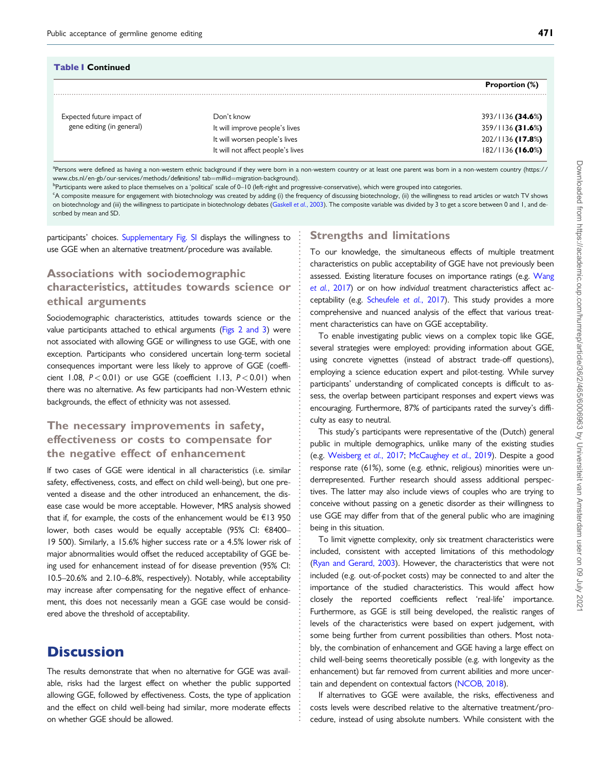| <b>Table   Continued</b>                               |                                                                    |                                        |  |  |
|--------------------------------------------------------|--------------------------------------------------------------------|----------------------------------------|--|--|
|                                                        |                                                                    | <b>Proportion (%)</b>                  |  |  |
| Expected future impact of<br>gene editing (in general) | Don't know<br>It will improve people's lives                       | 393/1136 (34.6%)<br>$359/1136$ (31.6%) |  |  |
|                                                        | It will worsen people's lives<br>It will not affect people's lives | 202/1136 (17.8%)<br>$182/1136$ (16.0%) |  |  |

a<br>Persons were defined as having a non-western ethnic background if they were born in a non-western country or at least one parent was born in a non-western country ([https://](https://www.cbs.nl/en-gb/our-services/methods/definitions? tab=m#id=migration-background) [www.cbs.nl/en-gb/our-services/methods/definitions? tab](https://www.cbs.nl/en-gb/our-services/methods/definitions? tab=m#id=migration-background)=[m#id](https://www.cbs.nl/en-gb/our-services/methods/definitions? tab=m#id=migration-background)=[migration-background\)](https://www.cbs.nl/en-gb/our-services/methods/definitions? tab=m#id=migration-background).

<sup>b</sup>Participants were asked to place themselves on a 'political' scale of 0–10 (left-right and progressive-conservative), which were grouped into categories.

c A composite measure for engagement with biotechnology was created by adding (i) the frequency of discussing biotechnology, (ii) the willingness to read articles or watch TV shows on biotechnology and (iii) the willingness to participate in biotechnology debates ([Gaskell](#page-13-0) et al., 2003). The composite variable was divided by 3 to get a score between 0 and 1, and described by mean and SD.

> . . . . . . . . . . . . . . . . . . . . . . . . . . . . . . . . . . . . . . . . . . . . . . . . . . . . . . . . . . . . . . . . . . . . . . . . . . . . . . . . . . . . . . . . . . . . . . . . . . . . . . . . . . . . . . . . . . . . . . . . . . . . . . .

participants' choices. [Supplementary Fig. SI](https://academic.oup.com/humrep/article-lookup/doi/10.1093/humrep/deaa212#supplementary-data) displays the willingness to use GGE when an alternative treatment/procedure was available.

## Associations with sociodemographic characteristics, attitudes towards science or ethical arguments

Sociodemographic characteristics, attitudes towards science or the value participants attached to ethical arguments [\(Figs 2 and 3\)](#page-8-0) were not associated with allowing GGE or willingness to use GGE, with one exception. Participants who considered uncertain long-term societal consequences important were less likely to approve of GGE (coefficient 1.08,  $P < 0.01$ ) or use GGE (coefficient 1.13,  $P < 0.01$ ) when there was no alternative. As few participants had non-Western ethnic backgrounds, the effect of ethnicity was not assessed.

## The necessary improvements in safety, effectiveness or costs to compensate for the negative effect of enhancement

If two cases of GGE were identical in all characteristics (i.e. similar safety, effectiveness, costs, and effect on child well-being), but one prevented a disease and the other introduced an enhancement, the disease case would be more acceptable. However, MRS analysis showed that if, for example, the costs of the enhancement would be  $E13$  950 lower, both cases would be equally acceptable (95% CI: €8400-19 500). Similarly, a 15.6% higher success rate or a 4.5% lower risk of major abnormalities would offset the reduced acceptability of GGE being used for enhancement instead of for disease prevention (95% CI: 10.5–20.6% and 2.10–6.8%, respectively). Notably, while acceptability may increase after compensating for the negative effect of enhancement, this does not necessarily mean a GGE case would be considered above the threshold of acceptability.

## **Discussion**

The results demonstrate that when no alternative for GGE was available, risks had the largest effect on whether the public supported allowing GGE, followed by effectiveness. Costs, the type of application and the effect on child well-being had similar, more moderate effects on whether GGE should be allowed.

#### Strengths and limitations

To our knowledge, the simultaneous effects of multiple treatment characteristics on public acceptability of GGE have not previously been assessed. Existing literature focuses on importance ratings (e.g. [Wang](#page-14-0) et al.[, 2017\)](#page-14-0) or on how individual treatment characteristics affect ac-ceptability (e.g. [Scheufele](#page-13-0) et al., 2017). This study provides a more comprehensive and nuanced analysis of the effect that various treatment characteristics can have on GGE acceptability.

To enable investigating public views on a complex topic like GGE, several strategies were employed: providing information about GGE, using concrete vignettes (instead of abstract trade-off questions), employing a science education expert and pilot-testing. While survey participants' understanding of complicated concepts is difficult to assess, the overlap between participant responses and expert views was encouraging. Furthermore, 87% of participants rated the survey's difficulty as easy to neutral.

This study's participants were representative of the (Dutch) general public in multiple demographics, unlike many of the existing studies (e.g. [Weisberg](#page-14-0) et al., 2017; [McCaughey](#page-13-0) et al., 2019). Despite a good response rate (61%), some (e.g. ethnic, religious) minorities were underrepresented. Further research should assess additional perspectives. The latter may also include views of couples who are trying to conceive without passing on a genetic disorder as their willingness to use GGE may differ from that of the general public who are imagining being in this situation.

To limit vignette complexity, only six treatment characteristics were included, consistent with accepted limitations of this methodology [\(Ryan and Gerard, 2003](#page-13-0)). However, the characteristics that were not included (e.g. out-of-pocket costs) may be connected to and alter the importance of the studied characteristics. This would affect how closely the reported coefficients reflect 'real-life' importance. Furthermore, as GGE is still being developed, the realistic ranges of levels of the characteristics were based on expert judgement, with some being further from current possibilities than others. Most notably, the combination of enhancement and GGE having a large effect on child well-being seems theoretically possible (e.g. with longevity as the enhancement) but far removed from current abilities and more uncertain and dependent on contextual factors [\(NCOB, 2018](#page-13-0)).

If alternatives to GGE were available, the risks, effectiveness and costs levels were described relative to the alternative treatment/procedure, instead of using absolute numbers. While consistent with the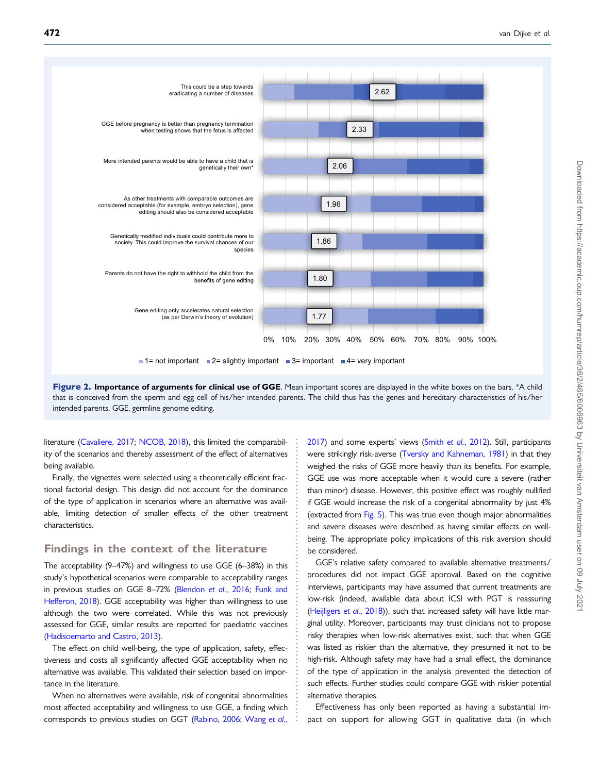<span id="page-8-0"></span>

Figure 2. Importance of arguments for clinical use of GGE. Mean important scores are displayed in the white boxes on the bars. \*A child that is conceived from the sperm and egg cell of his/her intended parents. The child thus has the genes and hereditary characteristics of his/her intended parents. GGE, germline genome editing.

> . . . . . . . . . . . . . . . . . . . . . . . . . . . . . . . . . . . . . . . . . . . . . . . . . . . . . . . . . . . . . . . . . . . . . . . . .

literature [\(Cavaliere, 2017](#page-12-0); [NCOB, 2018\)](#page-13-0), this limited the comparability of the scenarios and thereby assessment of the effect of alternatives being available.

Finally, the vignettes were selected using a theoretically efficient fractional factorial design. This design did not account for the dominance of the type of application in scenarios where an alternative was available, limiting detection of smaller effects of the other treatment characteristics.

#### Findings in the context of the literature

The acceptability (9–47%) and willingness to use GGE (6–38%) in this study's hypothetical scenarios were comparable to acceptability ranges in previous studies on GGE 8-72% [\(Blendon](#page-12-0) et al., 2016; [Funk and](#page-13-0) [Hefferon, 2018\)](#page-13-0). GGE acceptability was higher than willingness to use although the two were correlated. While this was not previously assessed for GGE, similar results are reported for paediatric vaccines ([Hadisoemarto and Castro, 2013\)](#page-13-0).

The effect on child well-being, the type of application, safety, effectiveness and costs all significantly affected GGE acceptability when no alternative was available. This validated their selection based on importance in the literature.

When no alternatives were available, risk of congenital abnormalities most affected acceptability and willingness to use GGE, a finding which corresponds to previous studies on GGT ([Rabino, 2006;](#page-13-0) [Wang](#page-14-0) et al.,

[2017](#page-14-0)) and some experts' views (Smith et al.[, 2012](#page-14-0)). Still, participants were strikingly risk-averse [\(Tversky and Kahneman, 1981](#page-14-0)) in that they weighed the risks of GGE more heavily than its benefits. For example, GGE use was more acceptable when it would cure a severe (rather than minor) disease. However, this positive effect was roughly nullified if GGE would increase the risk of a congenital abnormality by just 4% (extracted from [Fig. 5\)](#page-11-0). This was true even though major abnormalities and severe diseases were described as having similar effects on wellbeing. The appropriate policy implications of this risk aversion should be considered.

GGE's relative safety compared to available alternative treatments/ procedures did not impact GGE approval. Based on the cognitive interviews, participants may have assumed that current treatments are low-risk (indeed, available data about ICSI with PGT is reassuring [\(Heijligers](#page-13-0) et al., 2018)), such that increased safety will have little marginal utility. Moreover, participants may trust clinicians not to propose risky therapies when low-risk alternatives exist, such that when GGE was listed as riskier than the alternative, they presumed it not to be high-risk. Although safety may have had a small effect, the dominance of the type of application in the analysis prevented the detection of such effects. Further studies could compare GGE with riskier potential alternative therapies.

Effectiveness has only been reported as having a substantial impact on support for allowing GGT in qualitative data (in which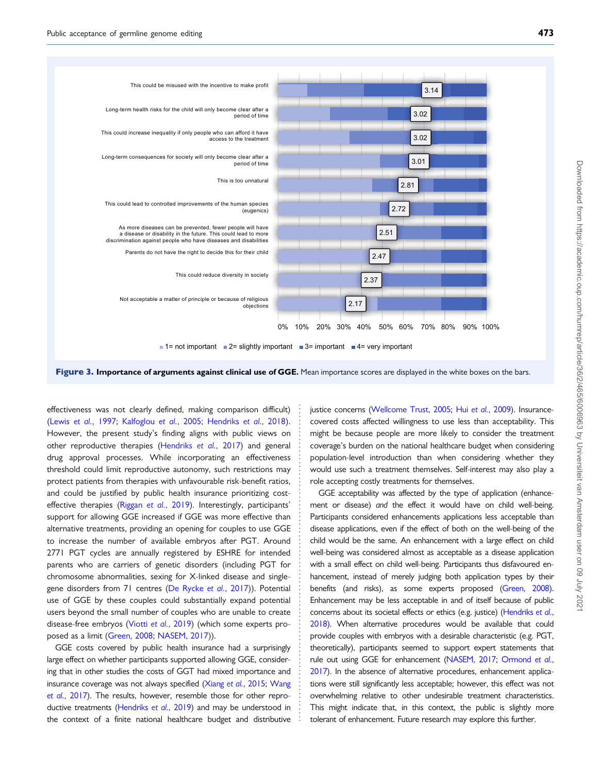<span id="page-9-0"></span>

Figure 3. Importance of arguments against clinical use of GGE. Mean importance scores are displayed in the white boxes on the bars.

. . . . . . . . . . . . . . . . . . . . . . . . . . . . . . . . . . . . . . . . . . . . . . . . . . . . . . . . . . . . . . . . . . . . . . . . . . . . . . . . . .

. effectiveness was not clearly defined, making comparison difficult) (Lewis et al.[, 1997;](#page-13-0) [Kalfoglou](#page-13-0) et al., 2005; [Hendriks](#page-13-0) et al., 2018). However, the present study's finding aligns with public views on other reproductive therapies [\(Hendriks](#page-13-0) et al., 2017) and general drug approval processes. While incorporating an effectiveness threshold could limit reproductive autonomy, such restrictions may protect patients from therapies with unfavourable risk-benefit ratios, and could be justified by public health insurance prioritizing costeffective therapies (Riggan et al.[, 2019](#page-13-0)). Interestingly, participants' support for allowing GGE increased if GGE was more effective than alternative treatments, providing an opening for couples to use GGE to increase the number of available embryos after PGT. Around 2771 PGT cycles are annually registered by ESHRE for intended parents who are carriers of genetic disorders (including PGT for chromosome abnormalities, sexing for X-linked disease and singlegene disorders from 71 centres [\(De Rycke](#page-12-0) et al., 2017)). Potential use of GGE by these couples could substantially expand potential users beyond the small number of couples who are unable to create disease-free embryos (Viotti et al.[, 2019\)](#page-14-0) (which some experts proposed as a limit [\(Green, 2008](#page-13-0); [NASEM, 2017](#page-13-0))).

GGE costs covered by public health insurance had a surprisingly large effect on whether participants supported allowing GGE, considering that in other studies the costs of GGT had mixed importance and insurance coverage was not always specified (Xiang et al.[, 2015](#page-14-0); [Wang](#page-14-0) et al.[, 2017](#page-14-0)). The results, however, resemble those for other repro-ductive treatments [\(Hendriks](#page-13-0) et al., 2019) and may be understood in the context of a finite national healthcare budget and distributive

justice concerns [\(Wellcome Trust, 2005](#page-14-0); Hui et al.[, 2009\)](#page-13-0). Insurancecovered costs affected willingness to use less than acceptability. This might be because people are more likely to consider the treatment coverage's burden on the national healthcare budget when considering population-level introduction than when considering whether they would use such a treatment themselves. Self-interest may also play a role accepting costly treatments for themselves.

GGE acceptability was affected by the type of application (enhancement or disease) and the effect it would have on child well-being. Participants considered enhancements applications less acceptable than disease applications, even if the effect of both on the well-being of the child would be the same. An enhancement with a large effect on child well-being was considered almost as acceptable as a disease application with a small effect on child well-being. Participants thus disfavoured enhancement, instead of merely judging both application types by their benefits (and risks), as some experts proposed [\(Green, 2008](#page-13-0)). Enhancement may be less acceptable in and of itself because of public concerns about its societal effects or ethics (e.g. justice) [\(Hendriks](#page-13-0) et al., [2018\)](#page-13-0). When alternative procedures would be available that could provide couples with embryos with a desirable characteristic (e.g. PGT, theoretically), participants seemed to support expert statements that rule out using GGE for enhancement [\(NASEM, 2017;](#page-13-0) [Ormond](#page-13-0) et al., [2017\)](#page-13-0). In the absence of alternative procedures, enhancement applications were still significantly less acceptable; however, this effect was not overwhelming relative to other undesirable treatment characteristics. This might indicate that, in this context, the public is slightly more tolerant of enhancement. Future research may explore this further.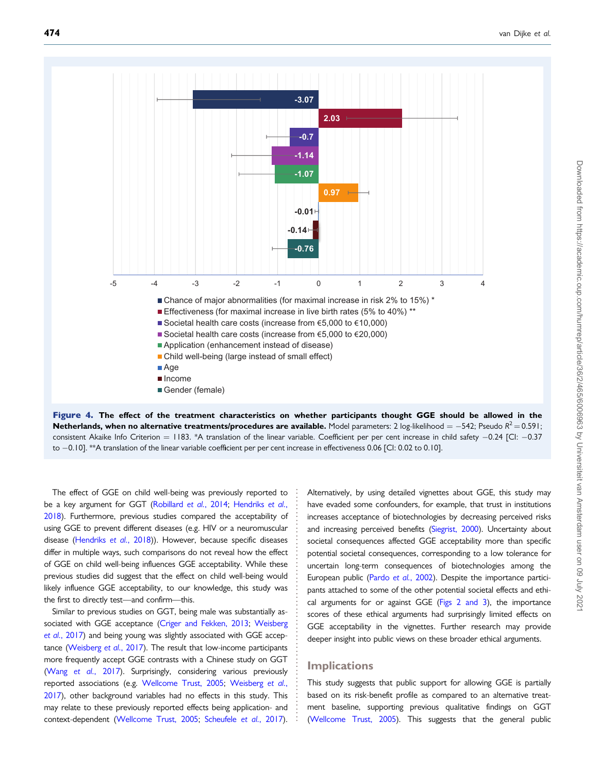<span id="page-10-0"></span>

Figure 4. The effect of the treatment characteristics on whether participants thought GGE should be allowed in the  $\bm{\sf{N}etherlands, when no alternative treatments/procedures are available.}$  Model parameters: 2 log-likelihood  $= -542$ ; Pseudo R $^2$   $= 0.591$ ; consistent Akaike Info Criterion = 1183. \*A translation of the linear variable. Coefficient per per cent increase in child safety –0.24 [CI: –0.37 to -0.10]. \*\*A translation of the linear variable coefficient per per cent increase in effectiveness 0.06 [CI: 0.02 to 0.10].

. The effect of GGE on child well-being was previously reported to be a key argument for GGT ([Robillard](#page-13-0) et al., 2014; [Hendriks](#page-13-0) et al., [2018\)](#page-13-0). Furthermore, previous studies compared the acceptability of using GGE to prevent different diseases (e.g. HIV or a neuromuscular disease ([Hendriks](#page-13-0) et al., 2018)). However, because specific diseases differ in multiple ways, such comparisons do not reveal how the effect of GGE on child well-being influences GGE acceptability. While these previous studies did suggest that the effect on child well-being would likely influence GGE acceptability, to our knowledge, this study was the first to directly test—and confirm—this.

Similar to previous studies on GGT, being male was substantially associated with GGE acceptance ([Criger and Fekken, 2013](#page-12-0); [Weisberg](#page-14-0) et al.[, 2017\)](#page-14-0) and being young was slightly associated with GGE acceptance ([Weisberg](#page-14-0) et al., 2017). The result that low-income participants more frequently accept GGE contrasts with a Chinese study on GGT (Wang et al.[, 2017\)](#page-14-0). Surprisingly, considering various previously reported associations (e.g. [Wellcome Trust, 2005;](#page-14-0) [Weisberg](#page-14-0) et al., [2017\)](#page-14-0), other background variables had no effects in this study. This may relate to these previously reported effects being application- and context-dependent [\(Wellcome Trust, 2005;](#page-14-0) [Scheufele](#page-13-0) et al., 2017).

Alternatively, by using detailed vignettes about GGE, this study may have evaded some confounders, for example, that trust in institutions increases acceptance of biotechnologies by decreasing perceived risks and increasing perceived benefits ([Siegrist, 2000\)](#page-14-0). Uncertainty about societal consequences affected GGE acceptability more than specific potential societal consequences, corresponding to a low tolerance for uncertain long-term consequences of biotechnologies among the European public (Pardo et al.[, 2002\)](#page-13-0). Despite the importance participants attached to some of the other potential societal effects and ethical arguments for or against GGE ( $Figs 2$  and  $3$ ), the importance scores of these ethical arguments had surprisingly limited effects on GGE acceptability in the vignettes. Further research may provide deeper insight into public views on these broader ethical arguments.

#### **Implications**

. . . . . . . . . . . . . . . . . . . . . . . . . . . . . . . . . . . . . . . . . . . . . . . . . . . . . . . . . . . .

This study suggests that public support for allowing GGE is partially based on its risk-benefit profile as compared to an alternative treatment baseline, supporting previous qualitative findings on GGT [\(Wellcome Trust, 2005](#page-14-0)). This suggests that the general public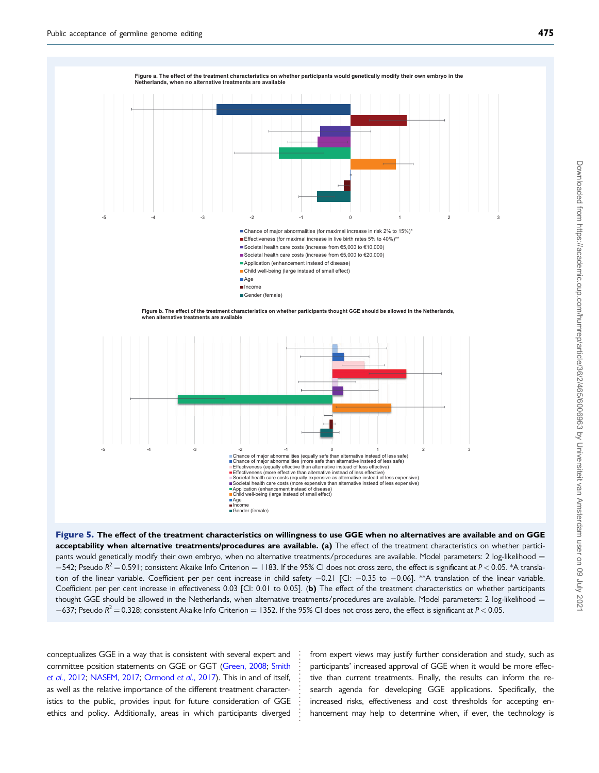<span id="page-11-0"></span>

Figure 5. The effect of the treatment characteristics on willingness to use GGE when no alternatives are available and on GGE acceptability when alternative treatments/procedures are available. (a) The effect of the treatment characteristics on whether participants would genetically modify their own embryo, when no alternative treatments/procedures are available. Model parameters: 2 log-likelihood =  $-542$ ; Pseudo R<sup>2</sup>  $=$  0.591; consistent Akaike Info Criterion  $=$  1183. If the 95% CI does not cross zero, the effect is significant at P < 0.05. \*A translation of the linear variable. Coefficient per per cent increase in child safety -0.21 [CI: -0.35 to -0.06]. \*\*A translation of the linear variable. Coefficient per per cent increase in effectiveness 0.03 [CI: 0.01 to 0.05]. (b) The effect of the treatment characteristics on whether participants thought GGE should be allowed in the Netherlands, when alternative treatments/procedures are available. Model parameters: 2 log-likelihood  $=$  $-637$ ; Pseudo R<sup>2</sup>  $=$  0.328; consistent Akaike Info Criterion  $=$  1352. If the 95% CI does not cross zero, the effect is significant at P  $<$  0.05.

> . . . . . . . . . . . . . . . . . .

. conceptualizes GGE in a way that is consistent with several expert and committee position statements on GGE or GGT ([Green, 2008;](#page-13-0) [Smith](#page-14-0) et al.[, 2012](#page-14-0); [NASEM, 2017;](#page-13-0) [Ormond](#page-13-0) et al., 2017). This in and of itself, as well as the relative importance of the different treatment characteristics to the public, provides input for future consideration of GGE ethics and policy. Additionally, areas in which participants diverged from expert views may justify further consideration and study, such as participants' increased approval of GGE when it would be more effective than current treatments. Finally, the results can inform the research agenda for developing GGE applications. Specifically, the increased risks, effectiveness and cost thresholds for accepting enhancement may help to determine when, if ever, the technology is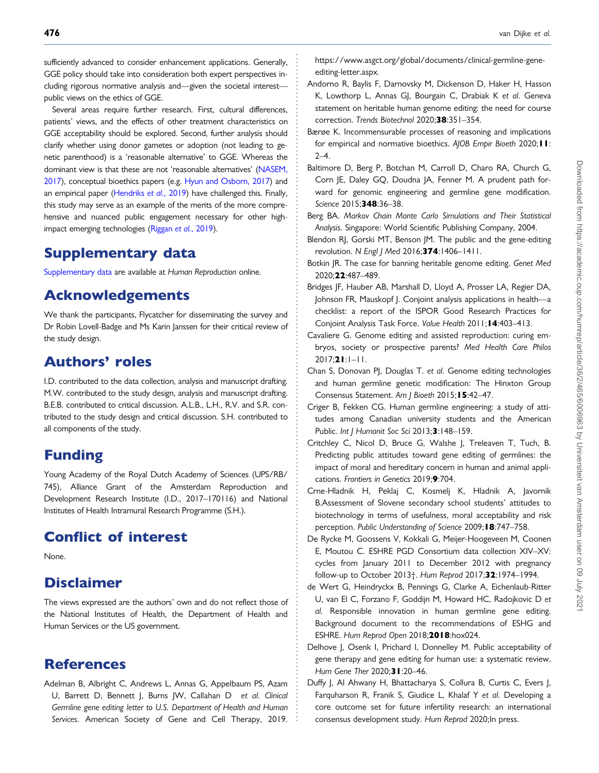<span id="page-12-0"></span>sufficiently advanced to consider enhancement applications. Generally, GGE policy should take into consideration both expert perspectives including rigorous normative analysis and—given the societal interest public views on the ethics of GGE.

Several areas require further research. First, cultural differences, patients' views, and the effects of other treatment characteristics on GGE acceptability should be explored. Second, further analysis should clarify whether using donor gametes or adoption (not leading to genetic parenthood) is a 'reasonable alternative' to GGE. Whereas the dominant view is that these are not 'reasonable alternatives' [\(NASEM,](#page-13-0) [2017\)](#page-13-0), conceptual bioethics papers (e.g. [Hyun and Osborn, 2017\)](#page-13-0) and an empirical paper [\(Hendriks](#page-13-0) et al., 2019) have challenged this. Finally, this study may serve as an example of the merits of the more comprehensive and nuanced public engagement necessary for other highimpact emerging technologies [\(Riggan](#page-13-0) et al., 2019).

# Supplementary data

[Supplementary data](https://academic.oup.com/humrep/article-lookup/doi/10.1093/humrep/deaa212#supplementary-data) are available at Human Reproduction online.

# Acknowledgements

We thank the participants, Flycatcher for disseminating the survey and Dr Robin Lovell-Badge and Ms Karin Janssen for their critical review of the study design.

# Authors' roles

I.D. contributed to the data collection, analysis and manuscript drafting. M.W. contributed to the study design, analysis and manuscript drafting. B.E.B. contributed to critical discussion. A.L.B., L.H., R.V. and S.R. contributed to the study design and critical discussion. S.H. contributed to all components of the study.

# Funding

Young Academy of the Royal Dutch Academy of Sciences (UPS/RB/ 745), Alliance Grant of the Amsterdam Reproduction and Development Research Institute (I.D., 2017–170116) and National Institutes of Health Intramural Research Programme (S.H.).

# Conflict of interest

None.

# **Disclaimer**

The views expressed are the authors' own and do not reflect those of the National Institutes of Health, the Department of Health and Human Services or the US government.

# References

Adelman B, Albright C, Andrews L, Annas G, Appelbaum PS, Azam U, Barrett D, Bennett J, Burns JW, Callahan D et al. Clinical Germline gene editing letter to U.S. Department of Health and Human Services. American Society of Gene and Cell Therapy, 2019. [https://www.asgct.org/global/documents/clinical-germline-gene](https://www.asgct.org/global/documents/clinical-germline-gene-editing-letter.aspx)[editing-letter.aspx](https://www.asgct.org/global/documents/clinical-germline-gene-editing-letter.aspx).

- Andorno R, Baylis F, Darnovsky M, Dickenson D, Haker H, Hasson K, Lowthorp L, Annas GJ, Bourgain C, Drabiak K et al. Geneva statement on heritable human genome editing: the need for course correction. Trends Biotechnol 2020;38:351–354.
- Bærøe K. Incommensurable processes of reasoning and implications for empirical and normative bioethics. AJOB Empir Bioeth 2020; I I:  $2 - 4$ .
- Baltimore D, Berg P, Botchan M, Carroll D, Charo RA, Church G, Corn JE, Daley GQ, Doudna JA, Fenner M. A prudent path forward for genomic engineering and germline gene modification. Science 2015;348:36-38.
- Berg BA. Markov Chain Monte Carlo Simulations and Their Statistical Analysis. Singapore: World Scientific Publishing Company, 2004.
- Blendon RJ, Gorski MT, Benson JM. The public and the gene-editing revolution. N Engl J Med 2016;374:1406-1411.
- Botkin JR. The case for banning heritable genome editing. Genet Med 2020;22:487–489.
- Bridges JF, Hauber AB, Marshall D, Lloyd A, Prosser LA, Regier DA, Johnson FR, Mauskopf J. Conjoint analysis applications in health—a checklist: a report of the ISPOR Good Research Practices for Conjoint Analysis Task Force. Value Health 2011;14:403–413.
- Cavaliere G. Genome editing and assisted reproduction: curing embryos, society or prospective parents? Med Health Care Philos  $2017;21:1-11.$
- Chan S, Donovan PJ, Douglas T. et al. Genome editing technologies and human germline genetic modification: The Hinxton Group Consensus Statement. Am | Bioeth 2015; 15:42-47.
- Criger B, Fekken CG. Human germline engineering: a study of attitudes among Canadian university students and the American Public. Int | Humanit Soc Sci 2013;3:148-159.
- Critchley C, Nicol D, Bruce G, Walshe J, Treleaven T, Tuch, B. Predicting public attitudes toward gene editing of germlines: the impact of moral and hereditary concern in human and animal applications. Frontiers in Genetics 2019;9:704.
- Crne-Hladnik H, Peklaj C, Kosmelj K, Hladnik A, Javornik B.Assessment of Slovene secondary school students' attitudes to biotechnology in terms of usefulness, moral acceptability and risk perception. Public Understanding of Science 2009; **8:**747-758.
- De Rycke M, Goossens V, Kokkali G, Meijer-Hoogeveen M, Coonen E, Moutou C. ESHRE PGD Consortium data collection XIV–XV: cycles from January 2011 to December 2012 with pregnancy follow-up to October 2013†. Hum Reprod 2017;32:1974–1994.
- de Wert G, Heindryckx B, Pennings G, Clarke A, Eichenlaub-Ritter U, van El C, Forzano F, Goddijn M, Howard HC, Radojkovic D et al. Responsible innovation in human germline gene editing. Background document to the recommendations of ESHG and ESHRE. Hum Reprod Open 2018;2018:hox024.
- Delhove J, Osenk I, Prichard I, Donnelley M. Public acceptability of gene therapy and gene editing for human use: a systematic review. Hum Gene Ther 2020;31:20-46.
- Duffy J, Al Ahwany H, Bhattacharya S, Collura B, Curtis C, Evers J, Farquharson R, Franik S, Giudice L, Khalaf Y et al. Developing a core outcome set for future infertility research: an international consensus development study. Hum Reprod 2020;In press.

. . . . . . . . . . . . . . . . . . . . . . . . . . . . . . . . . . . . . . . . . . . . . . . . . . . . . . . . . . . . . . . . . . . . . . . . . . . . . . . . . . . . . . . . . . . . . . . . . . . . . . . . . . . . . . . . . . . . . . . . . . . . . . . . . . . . . . . . . . . . . . . . . . . . . . . . . . . . . . . . . . . . . . . . . . . . .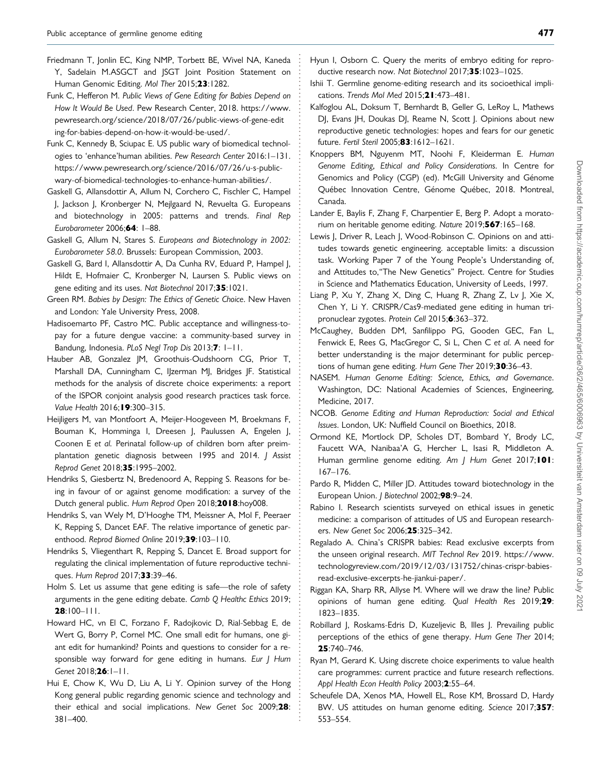- <span id="page-13-0"></span>. Friedmann T, Jonlin EC, King NMP, Torbett BE, Wivel NA, Kaneda Y, Sadelain M.ASGCT and JSGT Joint Position Statement on Human Genomic Editing. Mol Ther 2015;23:1282.
- Funk C, Hefferon M. Public Views of Gene Editing for Babies Depend on How It Would Be Used. Pew Research Center, 2018. [https://www.](https://www.pewresearch.org/science/2018/07/26/public-views-of-gene-editing-for-babies-depend-on-how-it-would-be-used/) [pewresearch.org/science/2018/07/26/public-views-of-gene-edit](https://www.pewresearch.org/science/2018/07/26/public-views-of-gene-editing-for-babies-depend-on-how-it-would-be-used/) [ing-for-babies-depend-on-how-it-would-be-used/](https://www.pewresearch.org/science/2018/07/26/public-views-of-gene-editing-for-babies-depend-on-how-it-would-be-used/).
- Funk C, Kennedy B, Sciupac E. US public wary of biomedical technologies to 'enhance'human abilities. Pew Research Center 2016:1–131. [https://www.pewresearch.org/science/2016/07/26/u-s-public](https://www.pewresearch.org/science/2016/07/26/u-s-public-wary-of-biomedical-technologies-to-enhance-human-abilities/)[wary-of-biomedical-technologies-to-enhance-human-abilities/.](https://www.pewresearch.org/science/2016/07/26/u-s-public-wary-of-biomedical-technologies-to-enhance-human-abilities/)
- Gaskell G, Allansdottir A, Allum N, Corchero C, Fischler C, Hampel J, Jackson J, Kronberger N, Mejlgaard N, Revuelta G. Europeans and biotechnology in 2005: patterns and trends. Final Rep Eurobarometer 2006;64: 1–88.
- Gaskell G, Allum N, Stares S. Europeans and Biotechnology in 2002: Eurobarometer 58.0. Brussels: European Commission, 2003.
- Gaskell G, Bard I, Allansdottir A, Da Cunha RV, Eduard P, Hampel J, Hildt E, Hofmaier C, Kronberger N, Laursen S. Public views on gene editing and its uses. Nat Biotechnol 2017;35:1021.
- Green RM. Babies by Design: The Ethics of Genetic Choice. New Haven and London: Yale University Press, 2008.
- Hadisoemarto PF, Castro MC. Public acceptance and willingness-topay for a future dengue vaccine: a community-based survey in Bandung, Indonesia. PLoS Negl Trop Dis 2013;7: 1-11.
- Hauber AB, Gonzalez JM, Groothuis-Oudshoorn CG, Prior T, Marshall DA, Cunningham C, IJzerman MJ, Bridges JF. Statistical methods for the analysis of discrete choice experiments: a report of the ISPOR conjoint analysis good research practices task force. Value Health 2016; 19:300-315.
- Heijligers M, van Montfoort A, Meijer-Hoogeveen M, Broekmans F, Bouman K, Homminga I, Dreesen J, Paulussen A, Engelen J, Coonen E et al. Perinatal follow-up of children born after preimplantation genetic diagnosis between 1995 and 2014. / Assist Reprod Genet 2018;35:1995–2002.
- Hendriks S, Giesbertz N, Bredenoord A, Repping S. Reasons for being in favour of or against genome modification: a survey of the Dutch general public. Hum Reprod Open 2018;2018:hoy008.
- Hendriks S, van Wely M, D'Hooghe TM, Meissner A, Mol F, Peeraer K, Repping S, Dancet EAF. The relative importance of genetic parenthood. Reprod Biomed Online 2019;39:103-110.
- Hendriks S, Vliegenthart R, Repping S, Dancet E. Broad support for regulating the clinical implementation of future reproductive techniques. Hum Reprod 2017;33:39-46.
- Holm S. Let us assume that gene editing is safe—the role of safety arguments in the gene editing debate. Camb Q Healthc Ethics 2019; 28:100–111.
- Howard HC, vn El C, Forzano F, Radojkovic D, Rial-Sebbag E, de Wert G, Borry P, Cornel MC. One small edit for humans, one giant edit for humankind? Points and questions to consider for a responsible way forward for gene editing in humans. Eur J Hum Genet 2018;26:1-11.
- Hui E, Chow K, Wu D, Liu A, Li Y. Opinion survey of the Hong Kong general public regarding genomic science and technology and their ethical and social implications. New Genet Soc 2009;28: 381–400.

. . . . . . . . . . . . . . . . . . . . . . . . . . . . . . . . . . . . . . . . . . . . . . . . . . . . . . . . . . . . . . . . . . . . . . . . . . . . . . . . . . . . . . . . . . . . . . . . . . . . . . . . . . . . . . . . . . . . . . . . . . . . . . . . . . . . . . . . . . . . . . . . . . . . . . . . . . . . . . . . . . . . . . . . . . . . .

- Hyun I, Osborn C. Query the merits of embryo editing for reproductive research now. Nat Biotechnol 2017;35:1023–1025.
- Ishii T. Germline genome-editing research and its socioethical implications. Trends Mol Med 2015;21:473-481.
- Kalfoglou AL, Doksum T, Bernhardt B, Geller G, LeRoy L, Mathews DJ, Evans JH, Doukas DJ, Reame N, Scott J. Opinions about new reproductive genetic technologies: hopes and fears for our genetic future. Fertil Steril 2005;83:1612–1621.
- Knoppers BM, Nguyenm MT, Noohi F, Kleiderman E. Human Genome Editing, Ethical and Policy Considerations. In Centre for Genomics and Policy (CGP) (ed). McGill University and Génome Québec Innovation Centre, Génome Québec, 2018. Montreal, Canada.
- Lander E, Baylis F, Zhang F, Charpentier E, Berg P. Adopt a moratorium on heritable genome editing. Nature 2019;567:165–168.
- Lewis J, Driver R, Leach J, Wood-Robinson C. Opinions on and attitudes towards genetic engineering. acceptable limits: a discussion task. Working Paper 7 of the Young People's Understanding of, and Attitudes to,"The New Genetics" Project. Centre for Studies in Science and Mathematics Education, University of Leeds, 1997.
- Liang P, Xu Y, Zhang X, Ding C, Huang R, Zhang Z, Lv J, Xie X, Chen Y, Li Y. CRISPR/Cas9-mediated gene editing in human tripronuclear zygotes. Protein Cell 2015;6:363–372.
- McCaughey, Budden DM, Sanfilippo PG, Gooden GEC, Fan L, Fenwick E, Rees G, MacGregor C, Si L, Chen C et al. A need for better understanding is the major determinant for public perceptions of human gene editing. Hum Gene Ther 2019;30:36-43.
- NASEM. Human Genome Editing: Science, Ethics, and Governance. Washington, DC: National Academies of Sciences, Engineering, Medicine, 2017.
- NCOB. Genome Editing and Human Reproduction: Social and Ethical Issues. London, UK: Nuffield Council on Bioethics, 2018.
- Ormond KE, Mortlock DP, Scholes DT, Bombard Y, Brody LC, Faucett WA, Nanibaa'A G, Hercher L, Isasi R, Middleton A. Human germline genome editing. Am J Hum Genet 2017;101: 167–176.
- Pardo R, Midden C, Miller JD. Attitudes toward biotechnology in the European Union. J Biotechnol 2002;98:9-24.
- Rabino I. Research scientists surveyed on ethical issues in genetic medicine: a comparison of attitudes of US and European researchers. New Genet Soc 2006;25:325–342.
- Regalado A. China's CRISPR babies: Read exclusive excerpts from the unseen original research. MIT Technol Rev 2019. [https://www.](https://www.technologyreview.com/2019/12/03/131752/chinas-crispr-babies-read-exclusive-excerpts-he-jiankui-paper/) [technologyreview.com/2019/12/03/131752/chinas-crispr-babies](https://www.technologyreview.com/2019/12/03/131752/chinas-crispr-babies-read-exclusive-excerpts-he-jiankui-paper/)[read-exclusive-excerpts-he-jiankui-paper/.](https://www.technologyreview.com/2019/12/03/131752/chinas-crispr-babies-read-exclusive-excerpts-he-jiankui-paper/)
- Riggan KA, Sharp RR, Allyse M. Where will we draw the line? Public opinions of human gene editing. Qual Health Res 2019;29: 1823–1835.
- Robillard J, Roskams-Edris D, Kuzeljevic B, Illes J. Prevailing public perceptions of the ethics of gene therapy. Hum Gene Ther 2014; 25:740–746.
- Ryan M, Gerard K. Using discrete choice experiments to value health care programmes: current practice and future research reflections. Appl Health Econ Health Policy 2003;2:55–64.
- Scheufele DA, Xenos MA, Howell EL, Rose KM, Brossard D, Hardy BW. US attitudes on human genome editing. Science 2017;357: 553–554.